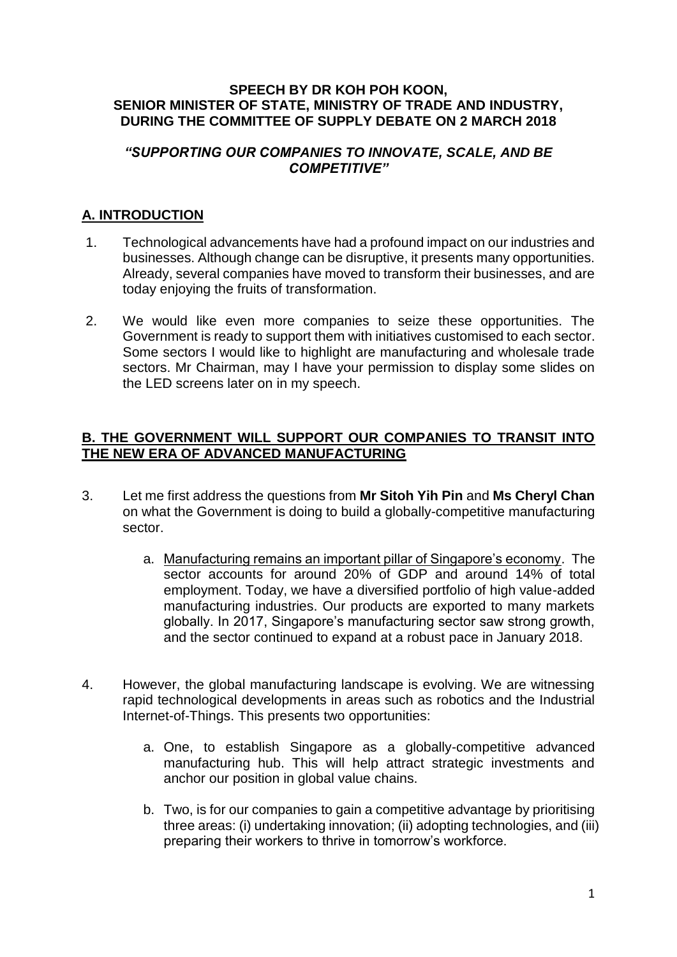#### **SPEECH BY DR KOH POH KOON, SENIOR MINISTER OF STATE, MINISTRY OF TRADE AND INDUSTRY, DURING THE COMMITTEE OF SUPPLY DEBATE ON 2 MARCH 2018**

#### *"SUPPORTING OUR COMPANIES TO INNOVATE, SCALE, AND BE COMPETITIVE"*

## **A. INTRODUCTION**

- 1. Technological advancements have had a profound impact on our industries and businesses. Although change can be disruptive, it presents many opportunities. Already, several companies have moved to transform their businesses, and are today enjoying the fruits of transformation.
- 2. We would like even more companies to seize these opportunities. The Government is ready to support them with initiatives customised to each sector. Some sectors I would like to highlight are manufacturing and wholesale trade sectors. Mr Chairman, may I have your permission to display some slides on the LED screens later on in my speech.

#### **B. THE GOVERNMENT WILL SUPPORT OUR COMPANIES TO TRANSIT INTO THE NEW ERA OF ADVANCED MANUFACTURING**

- 3. Let me first address the questions from **Mr Sitoh Yih Pin** and **Ms Cheryl Chan** on what the Government is doing to build a globally-competitive manufacturing sector.
	- a. Manufacturing remains an important pillar of Singapore's economy. The sector accounts for around 20% of GDP and around 14% of total employment. Today, we have a diversified portfolio of high value-added manufacturing industries. Our products are exported to many markets globally. In 2017, Singapore's manufacturing sector saw strong growth, and the sector continued to expand at a robust pace in January 2018.
- 4. However, the global manufacturing landscape is evolving. We are witnessing rapid technological developments in areas such as robotics and the Industrial Internet-of-Things. This presents two opportunities:
	- a. One, to establish Singapore as a globally-competitive advanced manufacturing hub. This will help attract strategic investments and anchor our position in global value chains.
	- b. Two, is for our companies to gain a competitive advantage by prioritising three areas: (i) undertaking innovation; (ii) adopting technologies, and (iii) preparing their workers to thrive in tomorrow's workforce.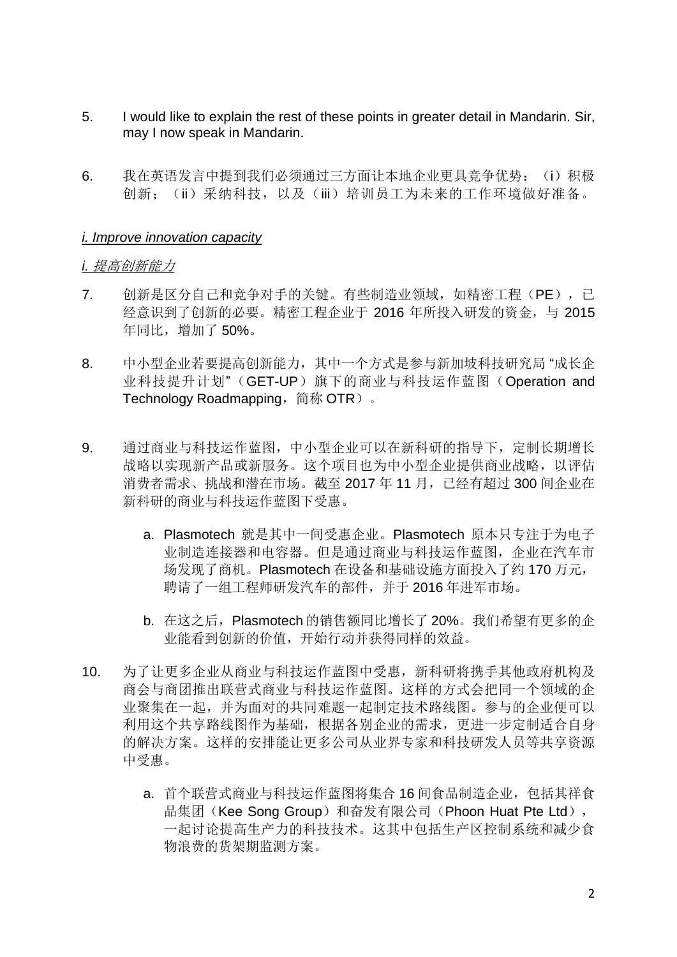- 5. I would like to explain the rest of these points in greater detail in Mandarin. Sir, may I now speak in Mandarin.
- 6. 我在英语发言中提到我们必须通过三方面让本地企业更具竞争优势:(i)积极 创新;(ii)采纳科技,以及(iii)培训员工为未来的工作环境做好准备。

#### *i. Improve innovation capacity*

#### *i.* 提高创新能力

- 7. 创新是区分自己和竞争对手的关键。有些制造业领域,如精密工程(PE),已 经意识到了创新的必要。精密工程企业于 2016 年所投入研发的资金, 与 2015 年同比,增加了50%。
- 8. 中小型企业若要提高创新能力,其中一个方式是参与新加坡科技研究局 "成长企 业科技提升计划"(GET-UP)旗下的商业与科技运作蓝图(Operation and Technology Roadmapping,简称 OTR)。
- 9. 通过商业与科技运作蓝图,中小型企业可以在新科研的指导下,定制长期增长 战略以实现新产品或新服务。这个项目也为中小型企业提供商业战略,以评估 消费者需求、挑战和潜在市场。截至 2017 年 11 月, 已经有超过 300 间企业在 新科研的商业与科技运作蓝图下受惠。
	- a. Plasmotech 就是其中一间受惠企业。Plasmotech 原本只专注于为电子 业制造连接器和电容器。但是通过商业与科技运作蓝图,企业在汽车市 场发现了商机。Plasmotech 在设备和基础设施方面投入了约 170 万元, 聘请了一组工程师研发汽车的部件,并于 2016 年进军市场。
	- b. 在这之后,Plasmotech 的销售额同比增长了 20%。我们希望有更多的企 业能看到创新的价值,开始行动并获得同样的效益。
- 10. 为了让更多企业从商业与科技运作蓝图中受惠,新科研将携手其他政府机构及 商会与商团推出联营式商业与科技运作蓝图。这样的方式会把同一个领域的企 业聚集在一起,并为面对的共同难题一起制定技术路线图。参与的企业便可以 利用这个共享路线图作为基础,根据各别企业的需求,更进一步定制适合自身 的解决方案。这样的安排能让更多公司从业界专家和科技研发人员等共享资源 中受惠。
	- a. 首个联营式商业与科技运作蓝图将集合 16 间食品制造企业, 包括其祥食 品集团(Kee Song Group)和奋发有限公司(Phoon Huat Pte Ltd), 一起讨论提高生产力的科技技术。这其中包括生产区控制系统和减少食 物浪费的货架期监测方案。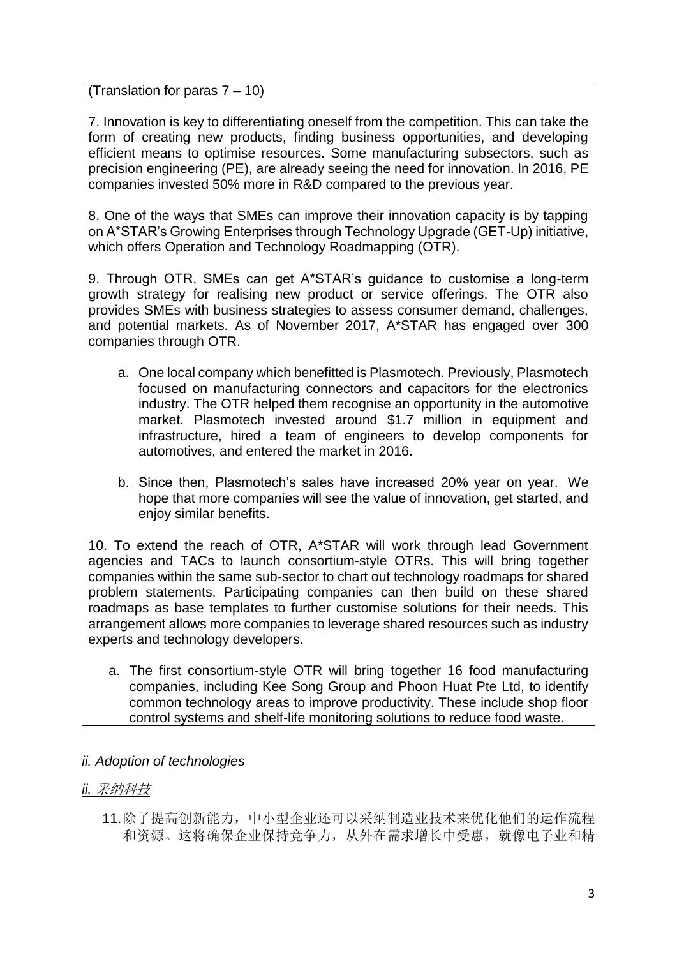(Translation for paras 7 – 10)

7. Innovation is key to differentiating oneself from the competition. This can take the form of creating new products, finding business opportunities, and developing efficient means to optimise resources. Some manufacturing subsectors, such as precision engineering (PE), are already seeing the need for innovation. In 2016, PE companies invested 50% more in R&D compared to the previous year.

8. One of the ways that SMEs can improve their innovation capacity is by tapping on A\*STAR's Growing Enterprises through Technology Upgrade (GET-Up) initiative, which offers Operation and Technology Roadmapping (OTR).

9. Through OTR, SMEs can get A\*STAR's guidance to customise a long-term growth strategy for realising new product or service offerings. The OTR also provides SMEs with business strategies to assess consumer demand, challenges, and potential markets. As of November 2017, A\*STAR has engaged over 300 companies through OTR.

- a. One local company which benefitted is Plasmotech. Previously, Plasmotech focused on manufacturing connectors and capacitors for the electronics industry. The OTR helped them recognise an opportunity in the automotive market. Plasmotech invested around \$1.7 million in equipment and infrastructure, hired a team of engineers to develop components for automotives, and entered the market in 2016.
- b. Since then, Plasmotech's sales have increased 20% year on year. We hope that more companies will see the value of innovation, get started, and enjoy similar benefits.

10. To extend the reach of OTR, A\*STAR will work through lead Government agencies and TACs to launch consortium-style OTRs. This will bring together companies within the same sub-sector to chart out technology roadmaps for shared problem statements. Participating companies can then build on these shared roadmaps as base templates to further customise solutions for their needs. This arrangement allows more companies to leverage shared resources such as industry experts and technology developers.

a. The first consortium-style OTR will bring together 16 food manufacturing companies, including Kee Song Group and Phoon Huat Pte Ltd, to identify common technology areas to improve productivity. These include shop floor control systems and shelf-life monitoring solutions to reduce food waste.

# *ii. Adoption of technologies*

# *ii.* 采纳科技

11.除了提高创新能力,中小型企业还可以采纳制造业技术来优化他们的运作流程 和资源。这将确保企业保持竞争力,从外在需求增长中受惠,就像电子业和精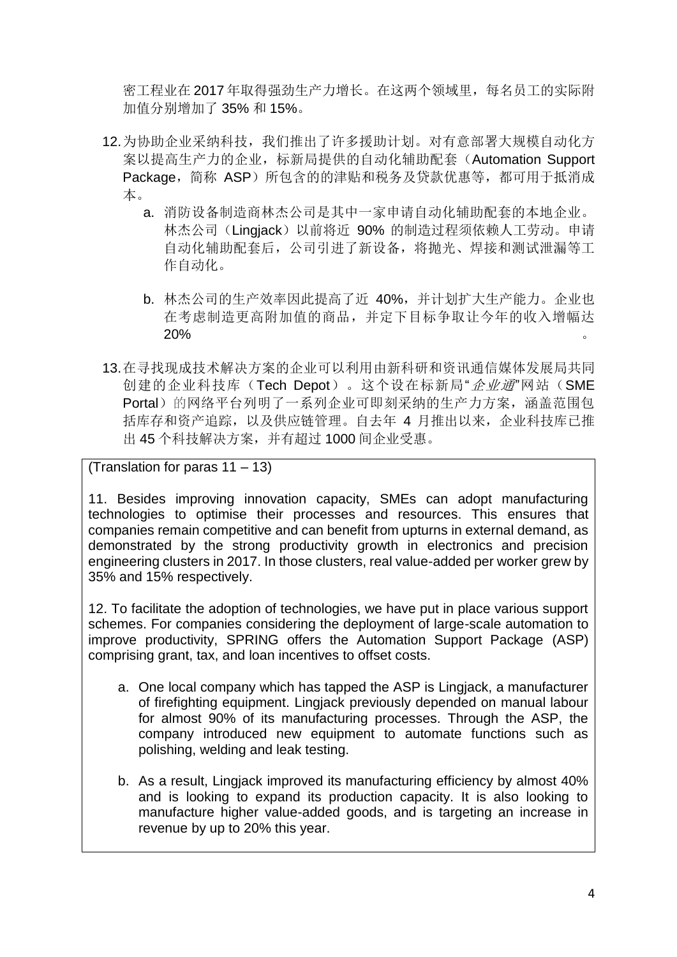密工程业在 2017 年取得强劲生产力增长。在这两个领域里,每名员工的实际附 加值分别增加了 35% 和 15%。

- 12.为协助企业采纳科技,我们推出了许多援助计划。对有意部署大规模自动化方 案以提高生产力的企业,标新局提供的自动化辅助配套(Automation Support Package, 简称 ASP)所包含的的津贴和税务及贷款优惠等, 都可用于抵消成 本。
	- a. 消防设备制造商林杰公司是其中一家申请自动化辅助配套的本地企业。 林杰公司(Lingjack)以前将近 90% 的制造过程须依赖人工劳动。申请 自动化辅助配套后,公司引进了新设备,将抛光、焊接和测试泄漏等工 作自动化。
	- b. 林杰公司的生产效率因此提高了近 40%,并计划扩大生产能力。企业也 在考虑制造更高附加值的商品,并定下目标争取让今年的收入增幅达  $20\%$
- 13.在寻找现成技术解决方案的企业可以利用由新科研和资讯通信媒体发展局共同 创建的企业科技库(Tech Depot)。这个设在标新局"企业通"网站(SME Portal) 的网络平台列明了一系列企业可即刻采纳的生产力方案, 涵盖范围包 括库存和资产追踪,以及供应链管理。自去年 4 月推出以来,企业科技库已推 出 45 个科技解决方案,并有超过 1000 间企业受惠。

(Translation for paras 11 – 13)

11. Besides improving innovation capacity, SMEs can adopt manufacturing technologies to optimise their processes and resources. This ensures that companies remain competitive and can benefit from upturns in external demand, as demonstrated by the strong productivity growth in electronics and precision engineering clusters in 2017. In those clusters, real value-added per worker grew by 35% and 15% respectively.

12. To facilitate the adoption of technologies, we have put in place various support schemes. For companies considering the deployment of large-scale automation to improve productivity, SPRING offers the Automation Support Package (ASP) comprising grant, tax, and loan incentives to offset costs.

- a. One local company which has tapped the ASP is Lingjack, a manufacturer of firefighting equipment. Lingjack previously depended on manual labour for almost 90% of its manufacturing processes. Through the ASP, the company introduced new equipment to automate functions such as polishing, welding and leak testing.
- b. As a result, Lingjack improved its manufacturing efficiency by almost 40% and is looking to expand its production capacity. It is also looking to manufacture higher value-added goods, and is targeting an increase in revenue by up to 20% this year.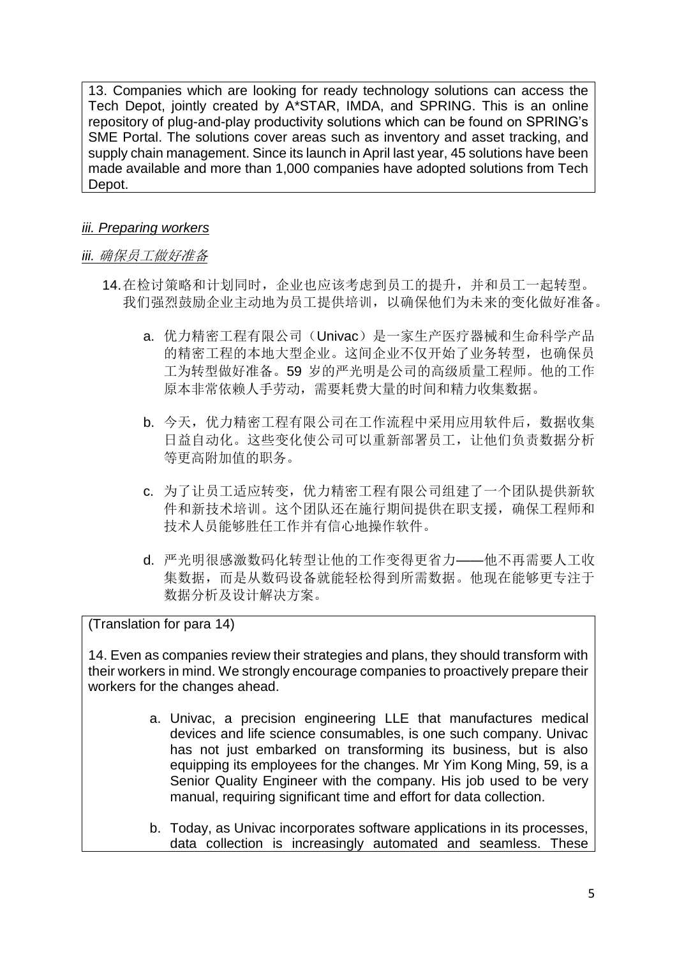13. Companies which are looking for ready technology solutions can access the Tech Depot, jointly created by A\*STAR, IMDA, and SPRING. This is an online repository of plug-and-play productivity solutions which can be found on SPRING's SME Portal. The solutions cover areas such as inventory and asset tracking, and supply chain management. Since its launch in April last year, 45 solutions have been made available and more than 1,000 companies have adopted solutions from Tech Depot.

#### *iii. Preparing workers*

#### *iii.* 确保员工做好准备

- 14.在检讨策略和计划同时,企业也应该考虑到员工的提升,并和员工一起转型。 我们强烈鼓励企业主动地为员工提供培训,以确保他们为未来的变化做好准备。
	- a. 优力精密工程有限公司(Univac)是一家生产医疗器械和生命科学产品 的精密工程的本地大型企业。这间企业不仅开始了业务转型,也确保员 工为转型做好准备。59 岁的严光明是公司的高级质量工程师。他的工作 原本非常依赖人手劳动,需要耗费大量的时间和精力收集数据。
	- b. 今天,优力精密工程有限公司在工作流程中采用应用软件后,数据收集 日益自动化。这些变化使公司可以重新部署员工,让他们负责数据分析 等更高附加值的职务。
	- c. 为了让员工适应转变,优力精密工程有限公司组建了一个团队提供新软 件和新技术培训。这个团队还在施行期间提供在职支援,确保工程师和 技术人员能够胜任工作并有信心地操作软件。
	- d. 严光明很感激数码化转型让他的工作变得更省力——他不再需要人工收 集数据,而是从数码设备就能轻松得到所需数据。他现在能够更专注于 数据分析及设计解决方案。

### (Translation for para 14)

14. Even as companies review their strategies and plans, they should transform with their workers in mind. We strongly encourage companies to proactively prepare their workers for the changes ahead.

- a. Univac, a precision engineering LLE that manufactures medical devices and life science consumables, is one such company. Univac has not just embarked on transforming its business, but is also equipping its employees for the changes. Mr Yim Kong Ming, 59, is a Senior Quality Engineer with the company. His job used to be very manual, requiring significant time and effort for data collection.
- b. Today, as Univac incorporates software applications in its processes, data collection is increasingly automated and seamless. These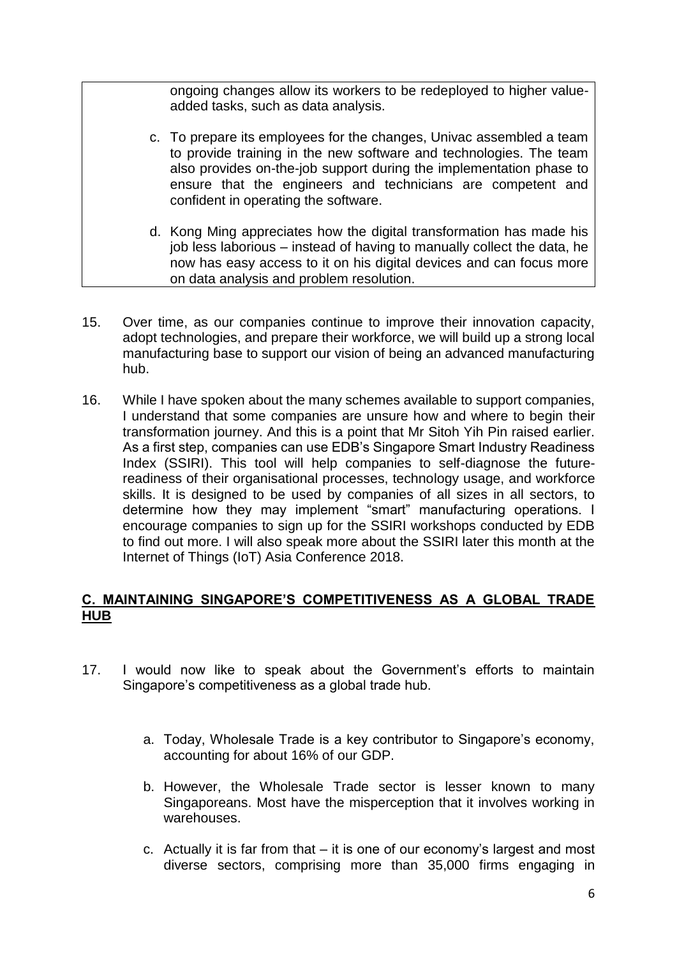ongoing changes allow its workers to be redeployed to higher valueadded tasks, such as data analysis.

- c. To prepare its employees for the changes, Univac assembled a team to provide training in the new software and technologies. The team also provides on-the-job support during the implementation phase to ensure that the engineers and technicians are competent and confident in operating the software.
- d. Kong Ming appreciates how the digital transformation has made his job less laborious – instead of having to manually collect the data, he now has easy access to it on his digital devices and can focus more on data analysis and problem resolution.
- 15. Over time, as our companies continue to improve their innovation capacity, adopt technologies, and prepare their workforce, we will build up a strong local manufacturing base to support our vision of being an advanced manufacturing hub.
- 16. While I have spoken about the many schemes available to support companies, I understand that some companies are unsure how and where to begin their transformation journey. And this is a point that Mr Sitoh Yih Pin raised earlier. As a first step, companies can use EDB's Singapore Smart Industry Readiness Index (SSIRI). This tool will help companies to self-diagnose the futurereadiness of their organisational processes, technology usage, and workforce skills. It is designed to be used by companies of all sizes in all sectors, to determine how they may implement "smart" manufacturing operations. I encourage companies to sign up for the SSIRI workshops conducted by EDB to find out more. I will also speak more about the SSIRI later this month at the Internet of Things (IoT) Asia Conference 2018.

### **C. MAINTAINING SINGAPORE'S COMPETITIVENESS AS A GLOBAL TRADE HUB**

- 17. I would now like to speak about the Government's efforts to maintain Singapore's competitiveness as a global trade hub.
	- a. Today, Wholesale Trade is a key contributor to Singapore's economy, accounting for about 16% of our GDP.
	- b. However, the Wholesale Trade sector is lesser known to many Singaporeans. Most have the misperception that it involves working in warehouses.
	- c. Actually it is far from that it is one of our economy's largest and most diverse sectors, comprising more than 35,000 firms engaging in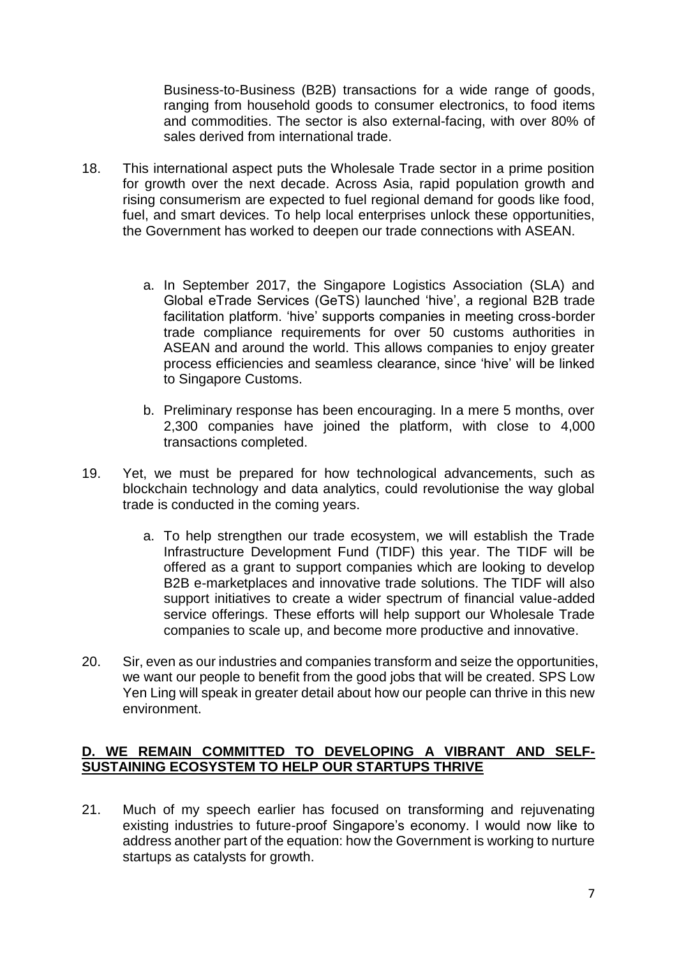Business-to-Business (B2B) transactions for a wide range of goods, ranging from household goods to consumer electronics, to food items and commodities. The sector is also external-facing, with over 80% of sales derived from international trade.

- 18. This international aspect puts the Wholesale Trade sector in a prime position for growth over the next decade. Across Asia, rapid population growth and rising consumerism are expected to fuel regional demand for goods like food, fuel, and smart devices. To help local enterprises unlock these opportunities, the Government has worked to deepen our trade connections with ASEAN.
	- a. In September 2017, the Singapore Logistics Association (SLA) and Global eTrade Services (GeTS) launched 'hive', a regional B2B trade facilitation platform. 'hive' supports companies in meeting cross-border trade compliance requirements for over 50 customs authorities in ASEAN and around the world. This allows companies to enjoy greater process efficiencies and seamless clearance, since 'hive' will be linked to Singapore Customs.
	- b. Preliminary response has been encouraging. In a mere 5 months, over 2,300 companies have joined the platform, with close to 4,000 transactions completed.
- 19. Yet, we must be prepared for how technological advancements, such as blockchain technology and data analytics, could revolutionise the way global trade is conducted in the coming years.
	- a. To help strengthen our trade ecosystem, we will establish the Trade Infrastructure Development Fund (TIDF) this year. The TIDF will be offered as a grant to support companies which are looking to develop B2B e-marketplaces and innovative trade solutions. The TIDF will also support initiatives to create a wider spectrum of financial value-added service offerings. These efforts will help support our Wholesale Trade companies to scale up, and become more productive and innovative.
- 20. Sir, even as our industries and companies transform and seize the opportunities, we want our people to benefit from the good jobs that will be created. SPS Low Yen Ling will speak in greater detail about how our people can thrive in this new environment.

### **D. WE REMAIN COMMITTED TO DEVELOPING A VIBRANT AND SELF-SUSTAINING ECOSYSTEM TO HELP OUR STARTUPS THRIVE**

21. Much of my speech earlier has focused on transforming and rejuvenating existing industries to future-proof Singapore's economy. I would now like to address another part of the equation: how the Government is working to nurture startups as catalysts for growth.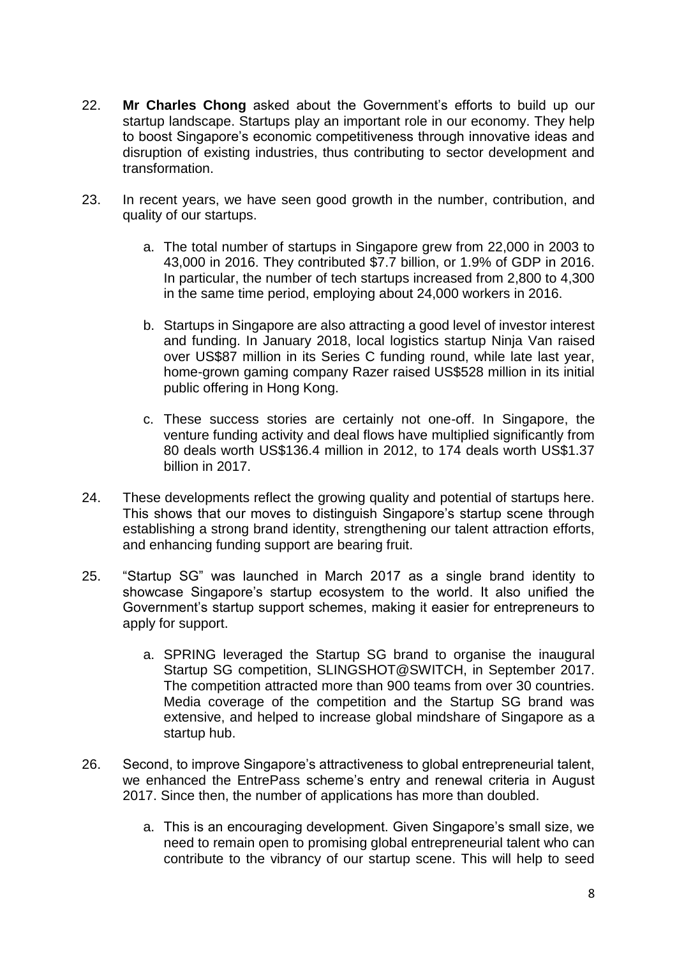- 22. **Mr Charles Chong** asked about the Government's efforts to build up our startup landscape. Startups play an important role in our economy. They help to boost Singapore's economic competitiveness through innovative ideas and disruption of existing industries, thus contributing to sector development and transformation.
- 23. In recent years, we have seen good growth in the number, contribution, and quality of our startups.
	- a. The total number of startups in Singapore grew from 22,000 in 2003 to 43,000 in 2016. They contributed \$7.7 billion, or 1.9% of GDP in 2016. In particular, the number of tech startups increased from 2,800 to 4,300 in the same time period, employing about 24,000 workers in 2016.
	- b. Startups in Singapore are also attracting a good level of investor interest and funding. In January 2018, local logistics startup Ninja Van raised over US\$87 million in its Series C funding round, while late last year, home-grown gaming company Razer raised US\$528 million in its initial public offering in Hong Kong.
	- c. These success stories are certainly not one-off. In Singapore, the venture funding activity and deal flows have multiplied significantly from 80 deals worth US\$136.4 million in 2012, to 174 deals worth US\$1.37 billion in 2017.
- 24. These developments reflect the growing quality and potential of startups here. This shows that our moves to distinguish Singapore's startup scene through establishing a strong brand identity, strengthening our talent attraction efforts, and enhancing funding support are bearing fruit.
- 25. "Startup SG" was launched in March 2017 as a single brand identity to showcase Singapore's startup ecosystem to the world. It also unified the Government's startup support schemes, making it easier for entrepreneurs to apply for support.
	- a. SPRING leveraged the Startup SG brand to organise the inaugural Startup SG competition, SLINGSHOT@SWITCH, in September 2017. The competition attracted more than 900 teams from over 30 countries. Media coverage of the competition and the Startup SG brand was extensive, and helped to increase global mindshare of Singapore as a startup hub.
- 26. Second, to improve Singapore's attractiveness to global entrepreneurial talent, we enhanced the EntrePass scheme's entry and renewal criteria in August 2017. Since then, the number of applications has more than doubled.
	- a. This is an encouraging development. Given Singapore's small size, we need to remain open to promising global entrepreneurial talent who can contribute to the vibrancy of our startup scene. This will help to seed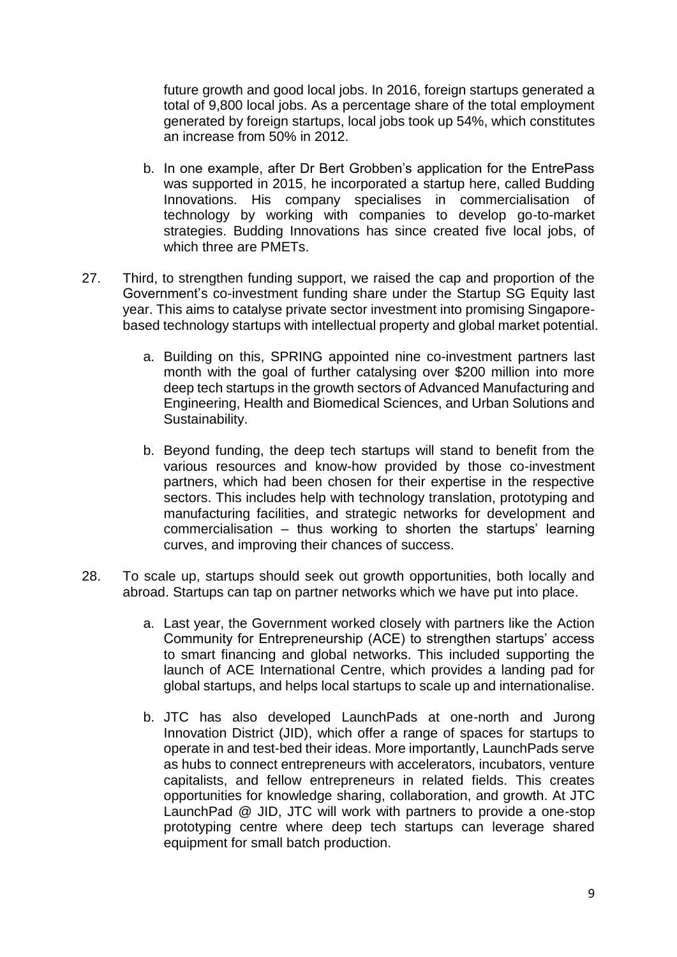future growth and good local jobs. In 2016, foreign startups generated a total of 9,800 local jobs. As a percentage share of the total employment generated by foreign startups, local jobs took up 54%, which constitutes an increase from 50% in 2012.

- b. In one example, after Dr Bert Grobben's application for the EntrePass was supported in 2015, he incorporated a startup here, called Budding Innovations. His company specialises in commercialisation of technology by working with companies to develop go-to-market strategies. Budding Innovations has since created five local jobs, of which three are PMFTs.
- 27. Third, to strengthen funding support, we raised the cap and proportion of the Government's co-investment funding share under the Startup SG Equity last year. This aims to catalyse private sector investment into promising Singaporebased technology startups with intellectual property and global market potential.
	- a. Building on this, SPRING appointed nine co-investment partners last month with the goal of further catalysing over \$200 million into more deep tech startups in the growth sectors of Advanced Manufacturing and Engineering, Health and Biomedical Sciences, and Urban Solutions and Sustainability.
	- b. Beyond funding, the deep tech startups will stand to benefit from the various resources and know-how provided by those co-investment partners, which had been chosen for their expertise in the respective sectors. This includes help with technology translation, prototyping and manufacturing facilities, and strategic networks for development and commercialisation – thus working to shorten the startups' learning curves, and improving their chances of success.
- 28. To scale up, startups should seek out growth opportunities, both locally and abroad. Startups can tap on partner networks which we have put into place.
	- a. Last year, the Government worked closely with partners like the Action Community for Entrepreneurship (ACE) to strengthen startups' access to smart financing and global networks. This included supporting the launch of ACE International Centre, which provides a landing pad for global startups, and helps local startups to scale up and internationalise.
	- b. JTC has also developed LaunchPads at one-north and Jurong Innovation District (JID), which offer a range of spaces for startups to operate in and test-bed their ideas. More importantly, LaunchPads serve as hubs to connect entrepreneurs with accelerators, incubators, venture capitalists, and fellow entrepreneurs in related fields. This creates opportunities for knowledge sharing, collaboration, and growth. At JTC LaunchPad @ JID, JTC will work with partners to provide a one-stop prototyping centre where deep tech startups can leverage shared equipment for small batch production.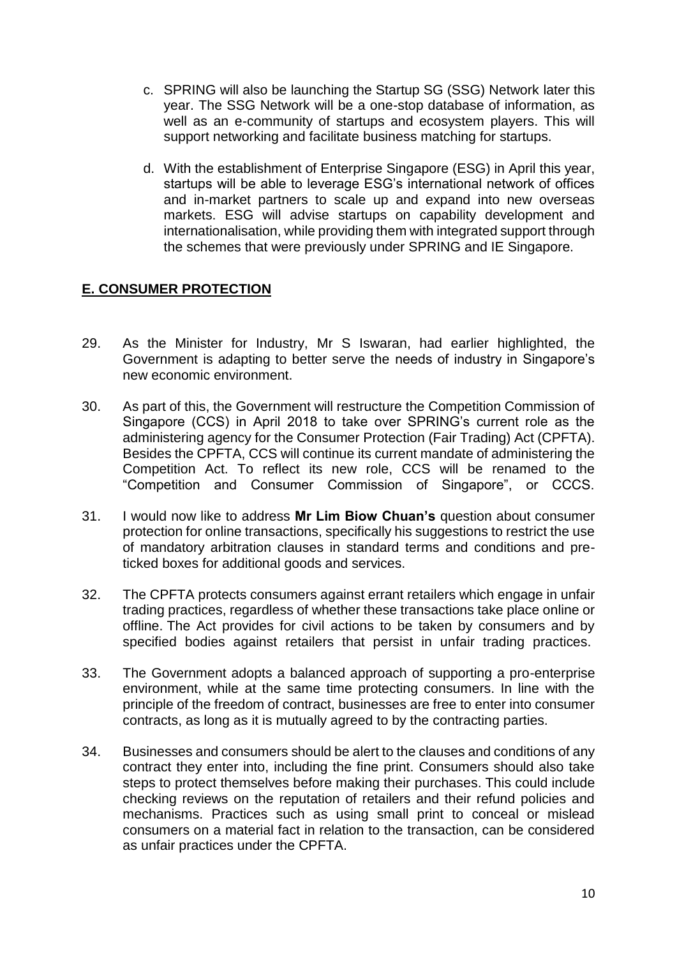- c. SPRING will also be launching the Startup SG (SSG) Network later this year. The SSG Network will be a one-stop database of information, as well as an e-community of startups and ecosystem players. This will support networking and facilitate business matching for startups.
- d. With the establishment of Enterprise Singapore (ESG) in April this year, startups will be able to leverage ESG's international network of offices and in-market partners to scale up and expand into new overseas markets. ESG will advise startups on capability development and internationalisation, while providing them with integrated support through the schemes that were previously under SPRING and IE Singapore.

## **E. CONSUMER PROTECTION**

- 29. As the Minister for Industry, Mr S Iswaran, had earlier highlighted, the Government is adapting to better serve the needs of industry in Singapore's new economic environment.
- 30. As part of this, the Government will restructure the Competition Commission of Singapore (CCS) in April 2018 to take over SPRING's current role as the administering agency for the Consumer Protection (Fair Trading) Act (CPFTA). Besides the CPFTA, CCS will continue its current mandate of administering the Competition Act. To reflect its new role, CCS will be renamed to the "Competition and Consumer Commission of Singapore", or CCCS.
- 31. I would now like to address **Mr Lim Biow Chuan's** question about consumer protection for online transactions, specifically his suggestions to restrict the use of mandatory arbitration clauses in standard terms and conditions and preticked boxes for additional goods and services.
- 32. The CPFTA protects consumers against errant retailers which engage in unfair trading practices, regardless of whether these transactions take place online or offline. The Act provides for civil actions to be taken by consumers and by specified bodies against retailers that persist in unfair trading practices.
- 33. The Government adopts a balanced approach of supporting a pro-enterprise environment, while at the same time protecting consumers. In line with the principle of the freedom of contract, businesses are free to enter into consumer contracts, as long as it is mutually agreed to by the contracting parties.
- 34. Businesses and consumers should be alert to the clauses and conditions of any contract they enter into, including the fine print. Consumers should also take steps to protect themselves before making their purchases. This could include checking reviews on the reputation of retailers and their refund policies and mechanisms. Practices such as using small print to conceal or mislead consumers on a material fact in relation to the transaction, can be considered as unfair practices under the CPFTA.